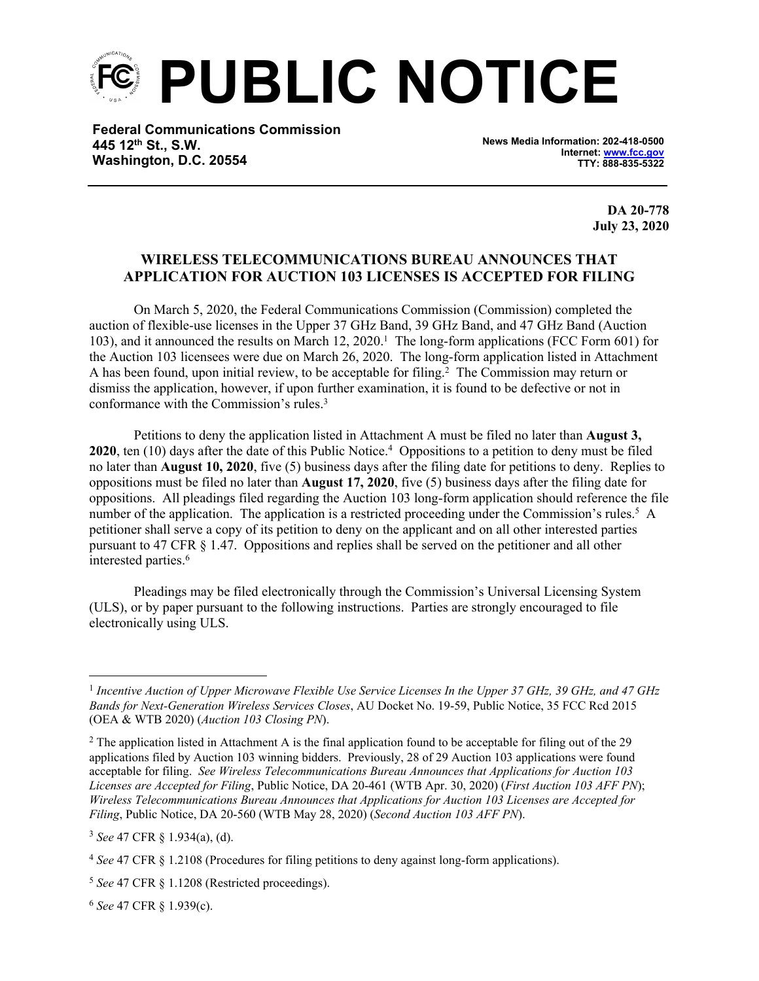**PUBLIC NOTICE**

**Federal Communications Commission 445 12th St., S.W. Washington, D.C. 20554**

**News Media Information: 202-418-0500 Internet: [www.fcc.gov](file:///C:/Users/craig.bomberger/AppData/Local/Microsoft/Windows/Temporary%20Internet%20Files/Content.Outlook/BCL5QM18/www.fcc.gov) TTY: 888-835-5322**

> **DA 20-778 July 23, 2020**

## **WIRELESS TELECOMMUNICATIONS BUREAU ANNOUNCES THAT APPLICATION FOR AUCTION 103 LICENSES IS ACCEPTED FOR FILING**

On March 5, 2020, the Federal Communications Commission (Commission) completed the auction of flexible-use licenses in the Upper 37 GHz Band, 39 GHz Band, and 47 GHz Band (Auction 103), and it announced the results on March 12, 2020.<sup>1</sup> The long-form applications (FCC Form 601) for the Auction 103 licensees were due on March 26, 2020. The long-form application listed in Attachment A has been found, upon initial review, to be acceptable for filing.<sup>2</sup> The Commission may return or dismiss the application, however, if upon further examination, it is found to be defective or not in conformance with the Commission's rules.<sup>3</sup>

Petitions to deny the application listed in Attachment A must be filed no later than **August 3, 2020**, ten (10) days after the date of this Public Notice.<sup>4</sup> Oppositions to a petition to deny must be filed no later than **August 10, 2020**, five (5) business days after the filing date for petitions to deny. Replies to oppositions must be filed no later than **August 17, 2020**, five (5) business days after the filing date for oppositions. All pleadings filed regarding the Auction 103 long-form application should reference the file number of the application. The application is a restricted proceeding under the Commission's rules.<sup>5</sup> A petitioner shall serve a copy of its petition to deny on the applicant and on all other interested parties pursuant to 47 CFR § 1.47. Oppositions and replies shall be served on the petitioner and all other interested parties.<sup>6</sup>

Pleadings may be filed electronically through the Commission's Universal Licensing System (ULS), or by paper pursuant to the following instructions. Parties are strongly encouraged to file electronically using ULS.

<sup>6</sup> *See* 47 CFR § 1.939(c).

<sup>&</sup>lt;sup>1</sup> Incentive Auction of Upper Microwave Flexible Use Service Licenses In the Upper 37 GHz, 39 GHz, and 47 GHz *Bands for Next-Generation Wireless Services Closes*, AU Docket No. 19-59, Public Notice, 35 FCC Rcd 2015 (OEA & WTB 2020) (*Auction 103 Closing PN*).

 $2$  The application listed in Attachment A is the final application found to be acceptable for filing out of the 29 applications filed by Auction 103 winning bidders. Previously, 28 of 29 Auction 103 applications were found acceptable for filing. *See Wireless Telecommunications Bureau Announces that Applications for Auction 103 Licenses are Accepted for Filing*, Public Notice, DA 20-461 (WTB Apr. 30, 2020) (*First Auction 103 AFF PN*); *Wireless Telecommunications Bureau Announces that Applications for Auction 103 Licenses are Accepted for Filing*, Public Notice, DA 20-560 (WTB May 28, 2020) (*Second Auction 103 AFF PN*).

<sup>3</sup> *See* 47 CFR § 1.934(a), (d).

<sup>4</sup> *See* 47 CFR § 1.2108 (Procedures for filing petitions to deny against long-form applications).

<sup>5</sup> *See* 47 CFR § 1.1208 (Restricted proceedings).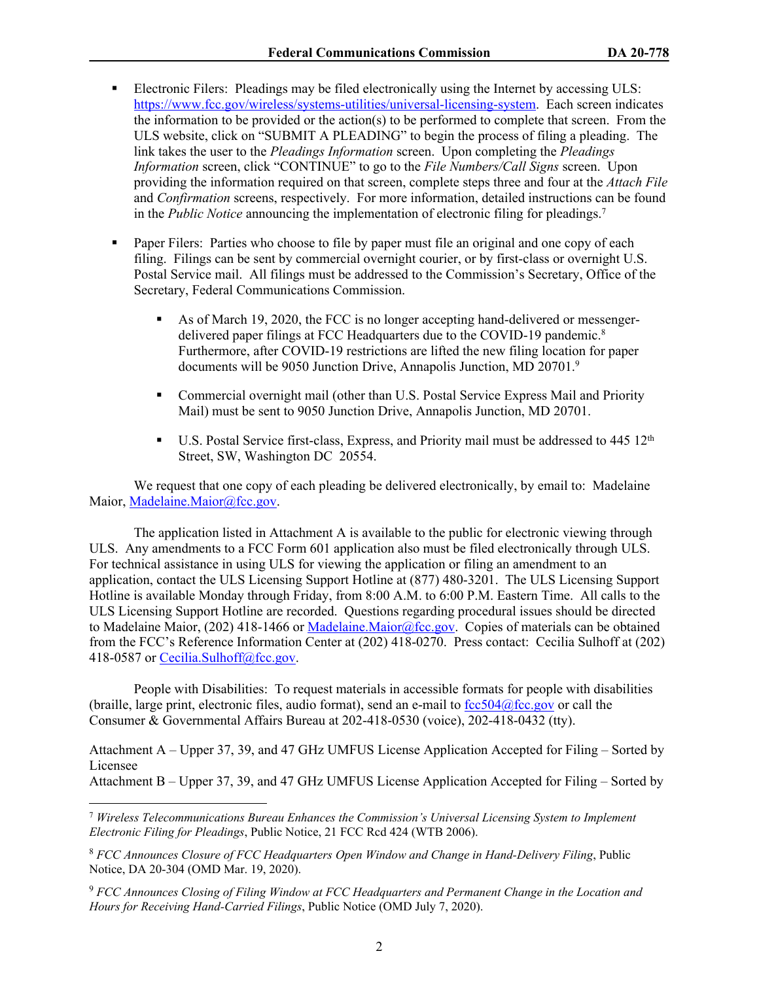- Electronic Filers: Pleadings may be filed electronically using the Internet by accessing ULS: <https://www.fcc.gov/wireless/systems-utilities/universal-licensing-system>. Each screen indicates the information to be provided or the action(s) to be performed to complete that screen. From the ULS website, click on "SUBMIT A PLEADING" to begin the process of filing a pleading. The link takes the user to the *Pleadings Information* screen. Upon completing the *Pleadings Information* screen, click "CONTINUE" to go to the *File Numbers/Call Signs* screen. Upon providing the information required on that screen, complete steps three and four at the *Attach File* and *Confirmation* screens, respectively. For more information, detailed instructions can be found in the *Public Notice* announcing the implementation of electronic filing for pleadings.<sup>7</sup>
- **Paper Filers:** Parties who choose to file by paper must file an original and one copy of each filing. Filings can be sent by commercial overnight courier, or by first-class or overnight U.S. Postal Service mail. All filings must be addressed to the Commission's Secretary, Office of the Secretary, Federal Communications Commission.
	- As of March 19, 2020, the FCC is no longer accepting hand-delivered or messengerdelivered paper filings at FCC Headquarters due to the COVID-19 pandemic.<sup>8</sup> Furthermore, after COVID-19 restrictions are lifted the new filing location for paper documents will be 9050 Junction Drive, Annapolis Junction, MD 20701.<sup>9</sup>
	- Commercial overnight mail (other than U.S. Postal Service Express Mail and Priority Mail) must be sent to 9050 Junction Drive, Annapolis Junction, MD 20701.
	- U.S. Postal Service first-class, Express, and Priority mail must be addressed to  $445 \frac{12 \text{ th}}{12 \text{ th}}$ Street, SW, Washington DC 20554.

We request that one copy of each pleading be delivered electronically, by email to: Madelaine Maior, [Madelaine.Maior@fcc.gov](mailto:Madelaine.Maior@fcc.gov).

The application listed in Attachment A is available to the public for electronic viewing through ULS. Any amendments to a FCC Form 601 application also must be filed electronically through ULS. For technical assistance in using ULS for viewing the application or filing an amendment to an application, contact the ULS Licensing Support Hotline at (877) 480-3201. The ULS Licensing Support Hotline is available Monday through Friday, from 8:00 A.M. to 6:00 P.M. Eastern Time. All calls to the ULS Licensing Support Hotline are recorded. Questions regarding procedural issues should be directed to Madelaine Maior, (202) 418-1466 or [Madelaine.Maior@fcc.gov](mailto:Madelaine.Maior@fcc.gov). Copies of materials can be obtained from the FCC's Reference Information Center at (202) 418-0270. Press contact: Cecilia Sulhoff at (202) 418-0587 or [Cecilia.Sulhoff@fcc.gov.](mailto:Cecilia.Sulhoff@fcc.gov)

People with Disabilities: To request materials in accessible formats for people with disabilities (braille, large print, electronic files, audio format), send an e-mail to  $fcc504@$ fcc.gov or call the Consumer & Governmental Affairs Bureau at 202-418-0530 (voice), 202-418-0432 (tty).

Attachment A – Upper 37, 39, and 47 GHz UMFUS License Application Accepted for Filing – Sorted by Licensee

Attachment B – Upper 37, 39, and 47 GHz UMFUS License Application Accepted for Filing – Sorted by

<sup>7</sup> *Wireless Telecommunications Bureau Enhances the Commission's Universal Licensing System to Implement Electronic Filing for Pleadings*, Public Notice, 21 FCC Rcd 424 (WTB 2006).

<sup>8</sup> *FCC Announces Closure of FCC Headquarters Open Window and Change in Hand-Delivery Filing*, Public Notice, DA 20-304 (OMD Mar. 19, 2020).

<sup>9</sup> *FCC Announces Closing of Filing Window at FCC Headquarters and Permanent Change in the Location and Hours for Receiving Hand-Carried Filings*, Public Notice (OMD July 7, 2020).